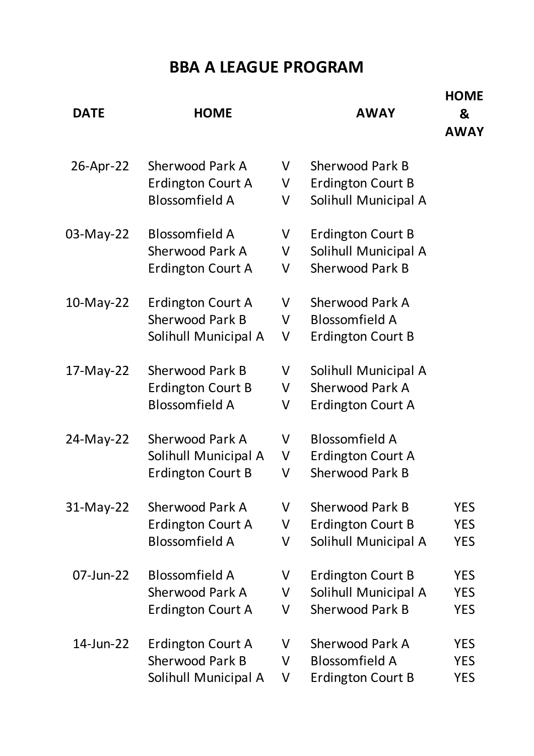## **BBA A LEAGUE PROGRAM**

| <b>DATE</b> | <b>HOME</b>                                                                 |             | <b>AWAY</b>                                                          | <b>HOME</b><br>&<br><b>AWAY</b>        |
|-------------|-----------------------------------------------------------------------------|-------------|----------------------------------------------------------------------|----------------------------------------|
| 26-Apr-22   | Sherwood Park A<br>Erdington Court A<br><b>Blossomfield A</b>               | V<br>V<br>V | Sherwood Park B<br><b>Erdington Court B</b><br>Solihull Municipal A  |                                        |
| 03-May-22   | <b>Blossomfield A</b><br><b>Sherwood Park A</b><br>Erdington Court A        | V<br>V<br>V | Erdington Court B<br>Solihull Municipal A<br><b>Sherwood Park B</b>  |                                        |
| 10-May-22   | Erdington Court A<br><b>Sherwood Park B</b><br>Solihull Municipal A         | V<br>V<br>V | Sherwood Park A<br><b>Blossomfield A</b><br><b>Erdington Court B</b> |                                        |
| 17-May-22   | <b>Sherwood Park B</b><br><b>Erdington Court B</b><br><b>Blossomfield A</b> | V<br>V<br>V | Solihull Municipal A<br>Sherwood Park A<br>Erdington Court A         |                                        |
| 24-May-22   | Sherwood Park A<br>Solihull Municipal A<br><b>Erdington Court B</b>         | V<br>V<br>V | <b>Blossomfield A</b><br>Erdington Court A<br><b>Sherwood Park B</b> |                                        |
| 31-May-22   | Sherwood Park A<br>Erdington Court A<br><b>Blossomfield A</b>               | V<br>V<br>V | Sherwood Park B<br>Erdington Court B<br>Solihull Municipal A         | <b>YES</b><br><b>YES</b><br><b>YES</b> |
| 07-Jun-22   | <b>Blossomfield A</b><br><b>Sherwood Park A</b><br>Erdington Court A        | V<br>V<br>V | Erdington Court B<br>Solihull Municipal A<br><b>Sherwood Park B</b>  | <b>YES</b><br><b>YES</b><br><b>YES</b> |
| 14-Jun-22   | Erdington Court A<br><b>Sherwood Park B</b><br>Solihull Municipal A         | V<br>V<br>V | Sherwood Park A<br><b>Blossomfield A</b><br>Erdington Court B        | <b>YES</b><br><b>YES</b><br><b>YES</b> |